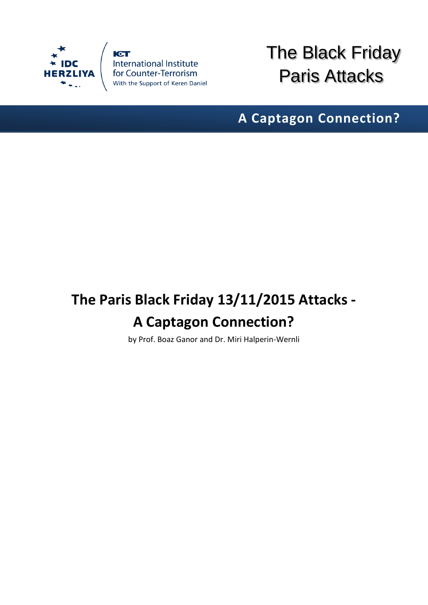

**ICT** International Institute<br>for Counter-Terrorism<br>With the Support of Keren Daniel The Black Friday Paris Attacks

**A Captagon Connection?**

## **The Paris Black Friday 13/11/2015 Attacks - A Captagon Connection?**

by Prof. Boaz Ganor and Dr. Miri Halperin-Wernli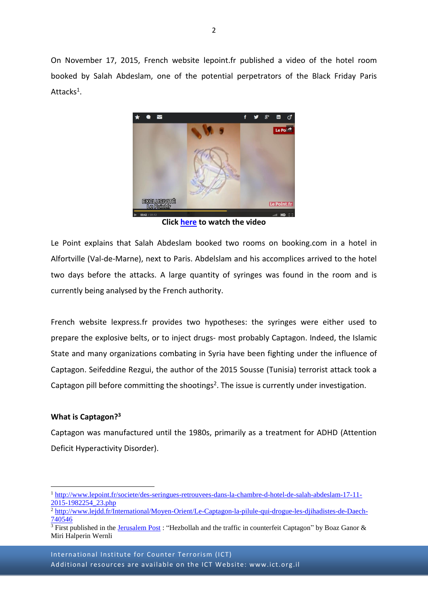On November 17, 2015, French website lepoint.fr published a video of the hotel room booked by Salah Abdeslam, one of the potential perpetrators of the Black Friday Paris Attacks<sup>1</sup>.



**Click [here](http://www.lepoint.fr/societe/des-seringues-retrouvees-dans-la-chambre-d-hotel-de-salah-abdeslam-17-11-2015-1982254_23.php) to watch the video**

Le Point explains that Salah Abdeslam booked two rooms on booking.com in a hotel in Alfortville (Val-de-Marne), next to Paris. Abdelslam and his accomplices arrived to the hotel two days before the attacks. A large quantity of syringes was found in the room and is currently being analysed by the French authority.

French website lexpress.fr provides two hypotheses: the syringes were either used to prepare the explosive belts, or to inject drugs- most probably Captagon. Indeed, the Islamic State and many organizations combating in Syria have been fighting under the influence of Captagon. Seifeddine Rezgui, the author of the 2015 Sousse (Tunisia) terrorist attack took a Captagon pill before committing the shootings<sup>2</sup>. The issue is currently under investigation.

## **What is Captagon?<sup>3</sup>**

1

Captagon was manufactured until the 1980s, primarily as a treatment for ADHD (Attention Deficit Hyperactivity Disorder).

<sup>1</sup> [http://www.lepoint.fr/societe/des-seringues-retrouvees-dans-la-chambre-d-hotel-de-salah-abdeslam-17-11-](http://www.lepoint.fr/societe/des-seringues-retrouvees-dans-la-chambre-d-hotel-de-salah-abdeslam-17-11-2015-1982254_23.php) [2015-1982254\\_23.php](http://www.lepoint.fr/societe/des-seringues-retrouvees-dans-la-chambre-d-hotel-de-salah-abdeslam-17-11-2015-1982254_23.php)

<sup>2</sup> [http://www.lejdd.fr/International/Moyen-Orient/Le-Captagon-la-pilule-qui-drogue-les-djihadistes-de-Daech-](http://www.lejdd.fr/International/Moyen-Orient/Le-Captagon-la-pilule-qui-drogue-les-djihadistes-de-Daech-740546)[740546](http://www.lejdd.fr/International/Moyen-Orient/Le-Captagon-la-pilule-qui-drogue-les-djihadistes-de-Daech-740546)

 $\frac{3}{3}$  First published in the [Jerusalem Post](http://www.jpost.com/Opinion/Hezbollah-and-the-traffic-in-counterfeit-Captagon-407513) : "Hezbollah and the traffic in counterfeit Captagon" by Boaz Ganor & Miri Halperin Wernli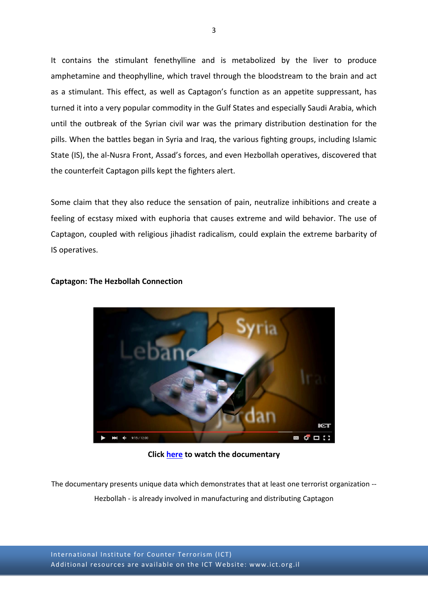It contains the stimulant fenethylline and is metabolized by the liver to produce amphetamine and theophylline, which travel through the bloodstream to the brain and act as a stimulant. This effect, as well as Captagon's function as an appetite suppressant, has turned it into a very popular commodity in the Gulf States and especially Saudi Arabia, which until the outbreak of the Syrian civil war was the primary distribution destination for the pills. When the battles began in Syria and Iraq, the various fighting groups, including Islamic State (IS), the al-Nusra Front, Assad's forces, and even Hezbollah operatives, discovered that the counterfeit Captagon pills kept the fighters alert.

Some claim that they also reduce the sensation of pain, neutralize inhibitions and create a feeling of ecstasy mixed with euphoria that causes extreme and wild behavior. The use of Captagon, coupled with religious jihadist radicalism, could explain the extreme barbarity of IS operatives.



## **Captagon: The Hezbollah Connection**

**Click [here](https://www.youtube.com/watch?v=8Y6M8C3J61o) to watch the documentary**

The documentary presents unique data which demonstrates that at least one terrorist organization -- Hezbollah - is already involved in manufacturing and distributing Captagon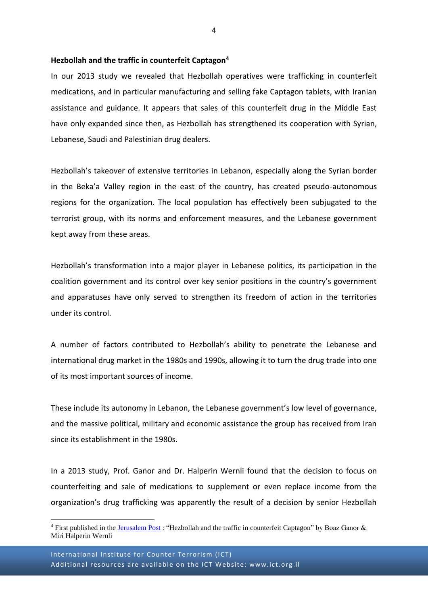## **Hezbollah and the traffic in counterfeit Captagon<sup>4</sup>**

In our 2013 study we revealed that Hezbollah operatives were trafficking in counterfeit medications, and in particular manufacturing and selling fake Captagon tablets, with Iranian assistance and guidance. It appears that sales of this counterfeit drug in the Middle East have only expanded since then, as Hezbollah has strengthened its cooperation with Syrian, Lebanese, Saudi and Palestinian drug dealers.

Hezbollah's takeover of extensive territories in Lebanon, especially along the Syrian border in the Beka'a Valley region in the east of the country, has created pseudo-autonomous regions for the organization. The local population has effectively been subjugated to the terrorist group, with its norms and enforcement measures, and the Lebanese government kept away from these areas.

Hezbollah's transformation into a major player in Lebanese politics, its participation in the coalition government and its control over key senior positions in the country's government and apparatuses have only served to strengthen its freedom of action in the territories under its control.

A number of factors contributed to Hezbollah's ability to penetrate the Lebanese and international drug market in the 1980s and 1990s, allowing it to turn the drug trade into one of its most important sources of income.

These include its autonomy in Lebanon, the Lebanese government's low level of governance, and the massive political, military and economic assistance the group has received from Iran since its establishment in the 1980s.

In a 2013 study, Prof. Ganor and Dr. Halperin Wernli found that the decision to focus on counterfeiting and sale of medications to supplement or even replace income from the organization's drug trafficking was apparently the result of a decision by senior Hezbollah

1

<sup>&</sup>lt;sup>4</sup> First published in the *Jerusalem Post* : "Hezbollah and the traffic in counterfeit Captagon" by Boaz Ganor & Miri Halperin Wernli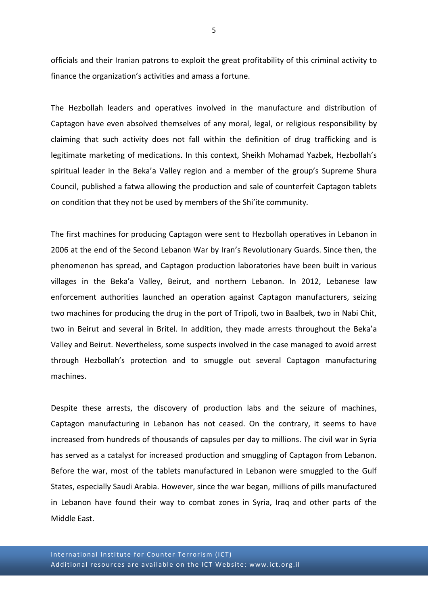officials and their Iranian patrons to exploit the great profitability of this criminal activity to finance the organization's activities and amass a fortune.

The Hezbollah leaders and operatives involved in the manufacture and distribution of Captagon have even absolved themselves of any moral, legal, or religious responsibility by claiming that such activity does not fall within the definition of drug trafficking and is legitimate marketing of medications. In this context, Sheikh Mohamad Yazbek, Hezbollah's spiritual leader in the Beka'a Valley region and a member of the group's Supreme Shura Council, published a fatwa allowing the production and sale of counterfeit Captagon tablets on condition that they not be used by members of the Shi'ite community.

The first machines for producing Captagon were sent to Hezbollah operatives in Lebanon in 2006 at the end of the Second Lebanon War by Iran's Revolutionary Guards. Since then, the phenomenon has spread, and Captagon production laboratories have been built in various villages in the Beka'a Valley, Beirut, and northern Lebanon. In 2012, Lebanese law enforcement authorities launched an operation against Captagon manufacturers, seizing two machines for producing the drug in the port of Tripoli, two in Baalbek, two in Nabi Chit, two in Beirut and several in Britel. In addition, they made arrests throughout the Beka'a Valley and Beirut. Nevertheless, some suspects involved in the case managed to avoid arrest through Hezbollah's protection and to smuggle out several Captagon manufacturing machines.

Despite these arrests, the discovery of production labs and the seizure of machines, Captagon manufacturing in Lebanon has not ceased. On the contrary, it seems to have increased from hundreds of thousands of capsules per day to millions. The civil war in Syria has served as a catalyst for increased production and smuggling of Captagon from Lebanon. Before the war, most of the tablets manufactured in Lebanon were smuggled to the Gulf States, especially Saudi Arabia. However, since the war began, millions of pills manufactured in Lebanon have found their way to combat zones in Syria, Iraq and other parts of the Middle East.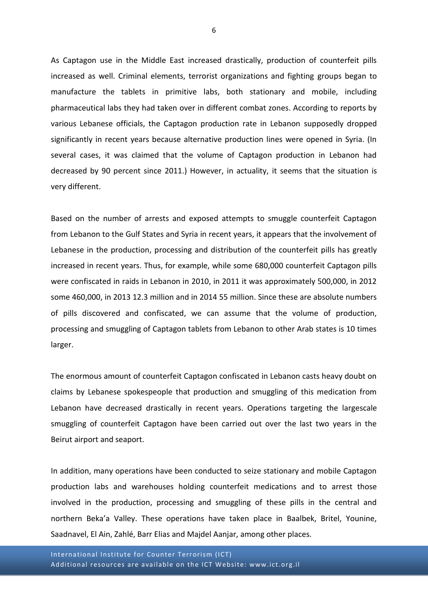As Captagon use in the Middle East increased drastically, production of counterfeit pills increased as well. Criminal elements, terrorist organizations and fighting groups began to manufacture the tablets in primitive labs, both stationary and mobile, including pharmaceutical labs they had taken over in different combat zones. According to reports by various Lebanese officials, the Captagon production rate in Lebanon supposedly dropped significantly in recent years because alternative production lines were opened in Syria. (In several cases, it was claimed that the volume of Captagon production in Lebanon had decreased by 90 percent since 2011.) However, in actuality, it seems that the situation is very different.

Based on the number of arrests and exposed attempts to smuggle counterfeit Captagon from Lebanon to the Gulf States and Syria in recent years, it appears that the involvement of Lebanese in the production, processing and distribution of the counterfeit pills has greatly increased in recent years. Thus, for example, while some 680,000 counterfeit Captagon pills were confiscated in raids in Lebanon in 2010, in 2011 it was approximately 500,000, in 2012 some 460,000, in 2013 12.3 million and in 2014 55 million. Since these are absolute numbers of pills discovered and confiscated, we can assume that the volume of production, processing and smuggling of Captagon tablets from Lebanon to other Arab states is 10 times larger.

The enormous amount of counterfeit Captagon confiscated in Lebanon casts heavy doubt on claims by Lebanese spokespeople that production and smuggling of this medication from Lebanon have decreased drastically in recent years. Operations targeting the largescale smuggling of counterfeit Captagon have been carried out over the last two years in the Beirut airport and seaport.

In addition, many operations have been conducted to seize stationary and mobile Captagon production labs and warehouses holding counterfeit medications and to arrest those involved in the production, processing and smuggling of these pills in the central and northern Beka'a Valley. These operations have taken place in Baalbek, Britel, Younine, Saadnavel, El Ain, Zahlé, Barr Elias and Majdel Aanjar, among other places.

International Institute for Counter Terrorism (ICT) Additional resources are available on the ICT Website: www.ict.org.il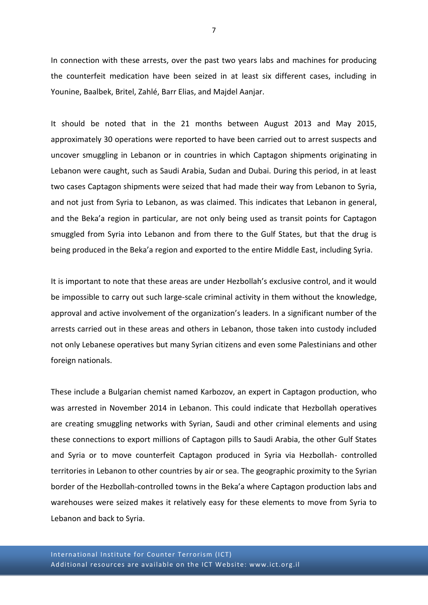In connection with these arrests, over the past two years labs and machines for producing the counterfeit medication have been seized in at least six different cases, including in Younine, Baalbek, Britel, Zahlé, Barr Elias, and Majdel Aanjar.

It should be noted that in the 21 months between August 2013 and May 2015, approximately 30 operations were reported to have been carried out to arrest suspects and uncover smuggling in Lebanon or in countries in which Captagon shipments originating in Lebanon were caught, such as Saudi Arabia, Sudan and Dubai. During this period, in at least two cases Captagon shipments were seized that had made their way from Lebanon to Syria, and not just from Syria to Lebanon, as was claimed. This indicates that Lebanon in general, and the Beka'a region in particular, are not only being used as transit points for Captagon smuggled from Syria into Lebanon and from there to the Gulf States, but that the drug is being produced in the Beka'a region and exported to the entire Middle East, including Syria.

It is important to note that these areas are under Hezbollah's exclusive control, and it would be impossible to carry out such large-scale criminal activity in them without the knowledge, approval and active involvement of the organization's leaders. In a significant number of the arrests carried out in these areas and others in Lebanon, those taken into custody included not only Lebanese operatives but many Syrian citizens and even some Palestinians and other foreign nationals.

These include a Bulgarian chemist named Karbozov, an expert in Captagon production, who was arrested in November 2014 in Lebanon. This could indicate that Hezbollah operatives are creating smuggling networks with Syrian, Saudi and other criminal elements and using these connections to export millions of Captagon pills to Saudi Arabia, the other Gulf States and Syria or to move counterfeit Captagon produced in Syria via Hezbollah- controlled territories in Lebanon to other countries by air or sea. The geographic proximity to the Syrian border of the Hezbollah-controlled towns in the Beka'a where Captagon production labs and warehouses were seized makes it relatively easy for these elements to move from Syria to Lebanon and back to Syria.